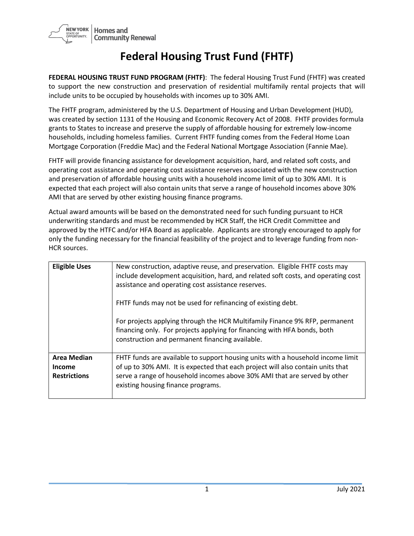

## **Federal Housing Trust Fund (FHTF)**

**FEDERAL HOUSING TRUST FUND PROGRAM (FHTF)**: The federal Housing Trust Fund (FHTF) was created to support the new construction and preservation of residential multifamily rental projects that will include units to be occupied by households with incomes up to 30% AMI.

The FHTF program, administered by the U.S. Department of Housing and Urban Development (HUD), was created by section 1131 of the Housing and Economic Recovery Act of 2008. FHTF provides formula grants to States to increase and preserve the supply of affordable housing for extremely low-income households, including homeless families. Current FHTF funding comes from the Federal Home Loan Mortgage Corporation (Freddie Mac) and the Federal National Mortgage Association (Fannie Mae).

FHTF will provide financing assistance for development acquisition, hard, and related soft costs, and operating cost assistance and operating cost assistance reserves associated with the new construction and preservation of affordable housing units with a household income limit of up to 30% AMI. It is expected that each project will also contain units that serve a range of household incomes above 30% AMI that are served by other existing housing finance programs.

Actual award amounts will be based on the demonstrated need for such funding pursuant to HCR underwriting standards and must be recommended by HCR Staff, the HCR Credit Committee and approved by the HTFC and/or HFA Board as applicable. Applicants are strongly encouraged to apply for only the funding necessary for the financial feasibility of the project and to leverage funding from non-HCR sources.

| <b>Eligible Uses</b>                                       | New construction, adaptive reuse, and preservation. Eligible FHTF costs may<br>include development acquisition, hard, and related soft costs, and operating cost<br>assistance and operating cost assistance reserves.<br>FHTF funds may not be used for refinancing of existing debt.<br>For projects applying through the HCR Multifamily Finance 9% RFP, permanent<br>financing only. For projects applying for financing with HFA bonds, both<br>construction and permanent financing available. |
|------------------------------------------------------------|------------------------------------------------------------------------------------------------------------------------------------------------------------------------------------------------------------------------------------------------------------------------------------------------------------------------------------------------------------------------------------------------------------------------------------------------------------------------------------------------------|
| <b>Area Median</b><br><b>Income</b><br><b>Restrictions</b> | FHTF funds are available to support housing units with a household income limit<br>of up to 30% AMI. It is expected that each project will also contain units that<br>serve a range of household incomes above 30% AMI that are served by other<br>existing housing finance programs.                                                                                                                                                                                                                |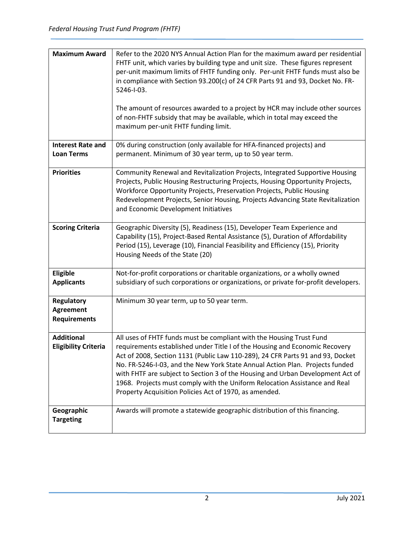| <b>Maximum Award</b><br><b>Interest Rate and</b>             | Refer to the 2020 NYS Annual Action Plan for the maximum award per residential<br>FHTF unit, which varies by building type and unit size. These figures represent<br>per-unit maximum limits of FHTF funding only. Per-unit FHTF funds must also be<br>in compliance with Section 93.200(c) of 24 CFR Parts 91 and 93, Docket No. FR-<br>5246-1-03.<br>The amount of resources awarded to a project by HCR may include other sources<br>of non-FHTF subsidy that may be available, which in total may exceed the<br>maximum per-unit FHTF funding limit.<br>0% during construction (only available for HFA-financed projects) and |
|--------------------------------------------------------------|-----------------------------------------------------------------------------------------------------------------------------------------------------------------------------------------------------------------------------------------------------------------------------------------------------------------------------------------------------------------------------------------------------------------------------------------------------------------------------------------------------------------------------------------------------------------------------------------------------------------------------------|
| <b>Loan Terms</b>                                            | permanent. Minimum of 30 year term, up to 50 year term.                                                                                                                                                                                                                                                                                                                                                                                                                                                                                                                                                                           |
| <b>Priorities</b>                                            | Community Renewal and Revitalization Projects, Integrated Supportive Housing<br>Projects, Public Housing Restructuring Projects, Housing Opportunity Projects,<br>Workforce Opportunity Projects, Preservation Projects, Public Housing<br>Redevelopment Projects, Senior Housing, Projects Advancing State Revitalization<br>and Economic Development Initiatives                                                                                                                                                                                                                                                                |
| <b>Scoring Criteria</b>                                      | Geographic Diversity (5), Readiness (15), Developer Team Experience and<br>Capability (15), Project-Based Rental Assistance (5), Duration of Affordability<br>Period (15), Leverage (10), Financial Feasibility and Efficiency (15), Priority<br>Housing Needs of the State (20)                                                                                                                                                                                                                                                                                                                                                  |
| Eligible<br><b>Applicants</b>                                | Not-for-profit corporations or charitable organizations, or a wholly owned<br>subsidiary of such corporations or organizations, or private for-profit developers.                                                                                                                                                                                                                                                                                                                                                                                                                                                                 |
| <b>Regulatory</b><br><b>Agreement</b><br><b>Requirements</b> | Minimum 30 year term, up to 50 year term.                                                                                                                                                                                                                                                                                                                                                                                                                                                                                                                                                                                         |
| <b>Additional</b><br><b>Eligibility Criteria</b>             | All uses of FHTF funds must be compliant with the Housing Trust Fund<br>requirements established under Title I of the Housing and Economic Recovery<br>Act of 2008, Section 1131 (Public Law 110-289), 24 CFR Parts 91 and 93, Docket<br>No. FR-5246-I-03, and the New York State Annual Action Plan. Projects funded<br>with FHTF are subject to Section 3 of the Housing and Urban Development Act of<br>1968. Projects must comply with the Uniform Relocation Assistance and Real<br>Property Acquisition Policies Act of 1970, as amended.                                                                                   |
| Geographic<br><b>Targeting</b>                               | Awards will promote a statewide geographic distribution of this financing.                                                                                                                                                                                                                                                                                                                                                                                                                                                                                                                                                        |